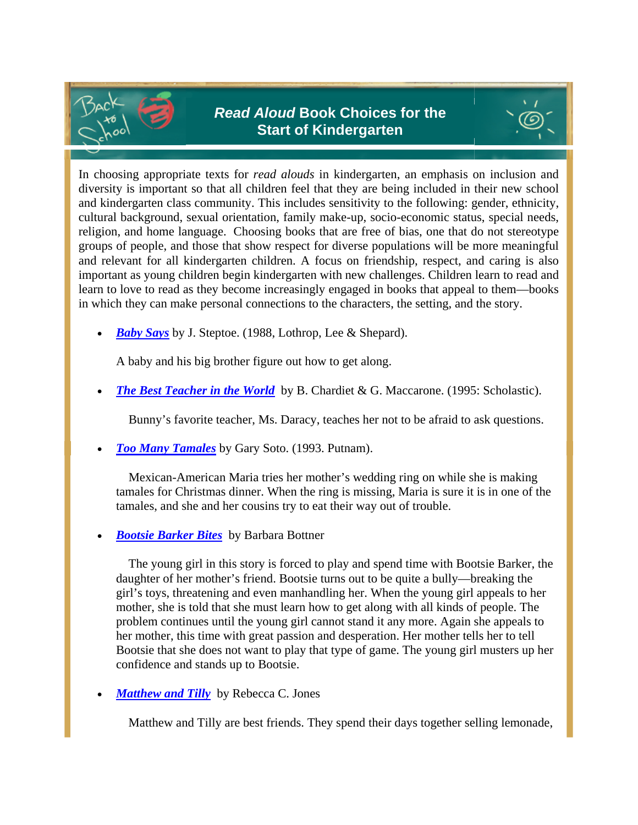



In choosing appropriate texts for *read alouds* in kindergarten, an emphasis on inclusion and diversity is important so that all children feel that they are being included in their new school and kindergarten class community. This includes sensitivity to the following: gender, ethnicity, cultural background, sexual orientation, family make-up, socio-economic status, special needs, religion, and home language. Choosing books that are free of bias, one that do not stereotype groups of people, and those that show respect for diverse populations will be more meaningful and relevant for all kindergarten children. A focus on friendship, respect, and caring is also important as young children begin kindergarten with new challenges. Children learn to read and learn to love to read as they become increasingly engaged in books that appeal to them—books in which they can make personal connections to the characters, the setting, and the story.

*Baby Says* by J. Steptoe. (1988, Lothrop, Lee & Shepard).

A baby and his big brother figure out how to get along.

**The Best Teacher in the World** by B. Chardiet & G. Maccarone. (1995: Scholastic).

Bunny's favorite teacher, Ms. Daracy, teaches her not to be afraid to ask questions.

*Too Many Tamales* by Gary Soto. (1993. Putnam).

 Mexican-American Maria tries her mother's wedding ring on while she is making tamales for Christmas dinner. When the ring is missing, Maria is sure it is in one of the tamales, and she and her cousins try to eat their way out of trouble.

*Bootsie Barker Bites* by Barbara Bottner

 The young girl in this story is forced to play and spend time with Bootsie Barker, the daughter of her mother's friend. Bootsie turns out to be quite a bully—breaking the girl's toys, threatening and even manhandling her. When the young girl appeals to her mother, she is told that she must learn how to get along with all kinds of people. The problem continues until the young girl cannot stand it any more. Again she appeals to her mother, this time with great passion and desperation. Her mother tells her to tell Bootsie that she does not want to play that type of game. The young girl musters up her confidence and stands up to Bootsie.

*Matthew and Tilly* by Rebecca C. Jones

Matthew and Tilly are best friends. They spend their days together selling lemonade,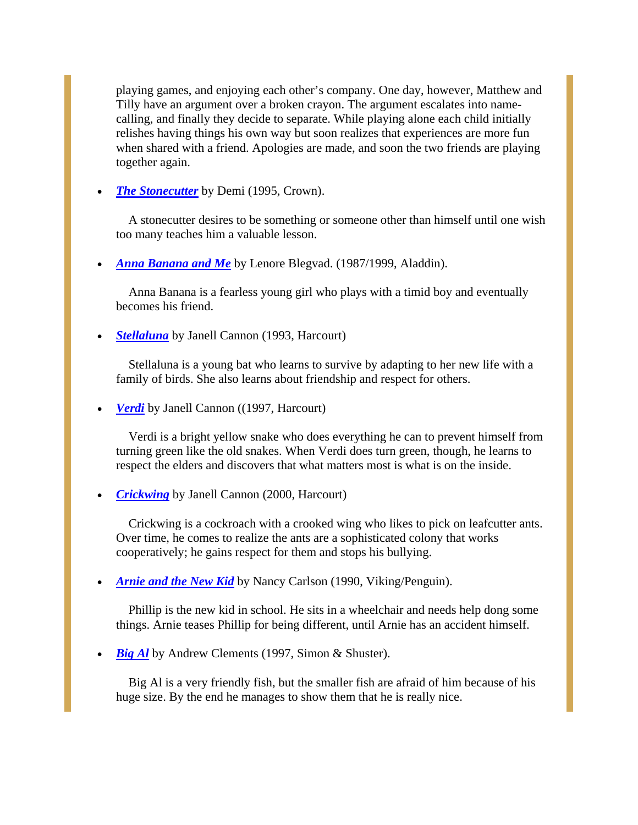playing games, and enjoying each other's company. One day, however, Matthew and Tilly have an argument over a broken crayon. The argument escalates into namecalling, and finally they decide to separate. While playing alone each child initially relishes having things his own way but soon realizes that experiences are more fun when shared with a friend. Apologies are made, and soon the two friends are playing together again.

*The Stonecutter* by Demi (1995, Crown).

 A stonecutter desires to be something or someone other than himself until one wish too many teaches him a valuable lesson.

*Anna Banana and Me* by Lenore Blegvad. (1987/1999, Aladdin).

 Anna Banana is a fearless young girl who plays with a timid boy and eventually becomes his friend.

*Stellaluna* by Janell Cannon (1993, Harcourt)

 Stellaluna is a young bat who learns to survive by adapting to her new life with a family of birds. She also learns about friendship and respect for others.

*Verdi* by Janell Cannon ((1997, Harcourt)

 Verdi is a bright yellow snake who does everything he can to prevent himself from turning green like the old snakes. When Verdi does turn green, though, he learns to respect the elders and discovers that what matters most is what is on the inside.

*Crickwing* by Janell Cannon (2000, Harcourt)

 Crickwing is a cockroach with a crooked wing who likes to pick on leafcutter ants. Over time, he comes to realize the ants are a sophisticated colony that works cooperatively; he gains respect for them and stops his bullying.

*Arnie and the New Kid* by Nancy Carlson (1990, Viking/Penguin).

 Phillip is the new kid in school. He sits in a wheelchair and needs help dong some things. Arnie teases Phillip for being different, until Arnie has an accident himself.

*Big Al* by Andrew Clements (1997, Simon & Shuster).

 Big Al is a very friendly fish, but the smaller fish are afraid of him because of his huge size. By the end he manages to show them that he is really nice.